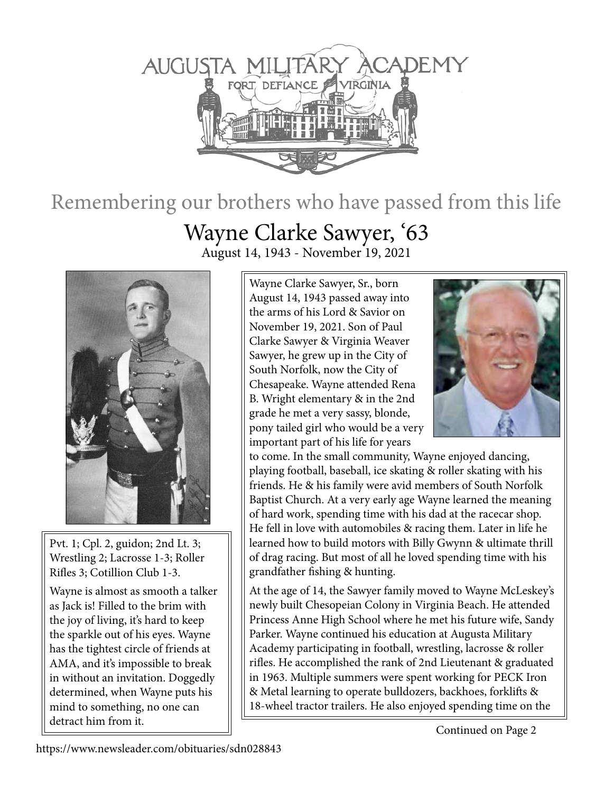

## Remembering our brothers who have passed from this life

## Wayne Clarke Sawyer, '63

August 14, 1943 - November 19, 2021



Pvt. 1; Cpl. 2, guidon; 2nd Lt. 3; Wrestling 2; Lacrosse 1-3; Roller Rifles 3; Cotillion Club 1-3.

Wayne is almost as smooth a talker as Jack is! Filled to the brim with the joy of living, it's hard to keep the sparkle out of his eyes. Wayne has the tightest circle of friends at AMA, and it's impossible to break in without an invitation. Doggedly determined, when Wayne puts his mind to something, no one can detract him from it.

Wayne Clarke Sawyer, Sr., born August 14, 1943 passed away into the arms of his Lord & Savior on November 19, 2021. Son of Paul Clarke Sawyer & Virginia Weaver Sawyer, he grew up in the City of South Norfolk, now the City of Chesapeake. Wayne attended Rena B. Wright elementary & in the 2nd grade he met a very sassy, blonde, pony tailed girl who would be a very important part of his life for years



to come. In the small community, Wayne enjoyed dancing, playing football, baseball, ice skating & roller skating with his friends. He & his family were avid members of South Norfolk Baptist Church. At a very early age Wayne learned the meaning of hard work, spending time with his dad at the racecar shop. He fell in love with automobiles & racing them. Later in life he learned how to build motors with Billy Gwynn & ultimate thrill of drag racing. But most of all he loved spending time with his grandfather fishing & hunting.

At the age of 14, the Sawyer family moved to Wayne McLeskey's newly built Chesopeian Colony in Virginia Beach. He attended Princess Anne High School where he met his future wife, Sandy Parker. Wayne continued his education at Augusta Military Academy participating in football, wrestling, lacrosse & roller rifles. He accomplished the rank of 2nd Lieutenant & graduated in 1963. Multiple summers were spent working for PECK Iron & Metal learning to operate bulldozers, backhoes, forklifts & 18-wheel tractor trailers. He also enjoyed spending time on the